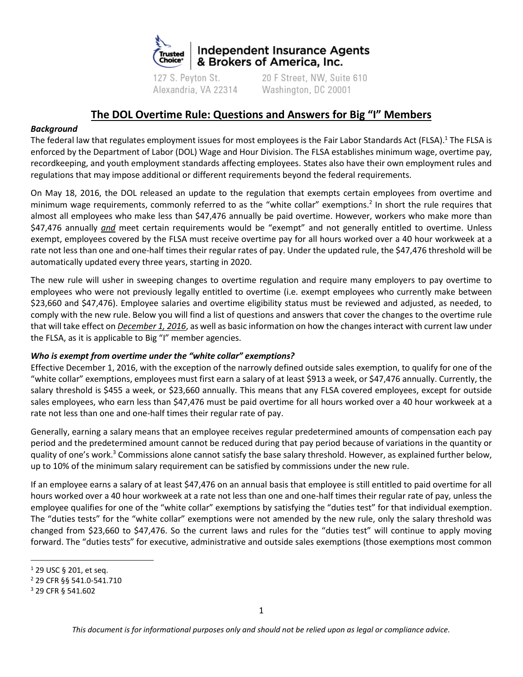

127 S. Peyton St. Alexandria, VA 22314

20 F Street, NW, Suite 610 Washington, DC 20001

# **The DOL Overtime Rule: Questions and Answers for Big "I" Members**

## *Background*

The federal law that regulates employment issues for most employees is the Fair Labor Standards Act (FLSA).<sup>1</sup> The FLSA is enforced by the Department of Labor (DOL) Wage and Hour Division. The FLSA establishes minimum wage, overtime pay, recordkeeping, and youth employment standards affecting employees. States also have their own employment rules and regulations that may impose additional or different requirements beyond the federal requirements.

On May 18, 2016, the DOL released an update to the regulation that exempts certain employees from overtime and minimum wage requirements, commonly referred to as the "white collar" exemptions.<sup>2</sup> In short the rule requires that almost all employees who make less than \$47,476 annually be paid overtime. However, workers who make more than \$47,476 annually *and* meet certain requirements would be "exempt" and not generally entitled to overtime. Unless exempt, employees covered by the FLSA must receive overtime pay for all hours worked over a 40 hour workweek at a rate not less than one and one-half times their regular rates of pay. Under the updated rule, the \$47,476 threshold will be automatically updated every three years, starting in 2020.

The new rule will usher in sweeping changes to overtime regulation and require many employers to pay overtime to employees who were not previously legally entitled to overtime (i.e. exempt employees who currently make between \$23,660 and \$47,476). Employee salaries and overtime eligibility status must be reviewed and adjusted, as needed, to comply with the new rule. Below you will find a list of questions and answers that cover the changes to the overtime rule that will take effect on *December 1, 2016*, as well as basic information on how the changes interact with current law under the FLSA, as it is applicable to Big "I" member agencies.

#### *Who is exempt from overtime under the "white collar" exemptions?*

Effective December 1, 2016, with the exception of the narrowly defined outside sales exemption, to qualify for one of the "white collar" exemptions, employees must first earn a salary of at least \$913 a week, or \$47,476 annually. Currently, the salary threshold is \$455 a week, or \$23,660 annually. This means that any FLSA covered employees, except for outside sales employees, who earn less than \$47,476 must be paid overtime for all hours worked over a 40 hour workweek at a rate not less than one and one-half times their regular rate of pay.

Generally, earning a salary means that an employee receives regular predetermined amounts of compensation each pay period and the predetermined amount cannot be reduced during that pay period because of variations in the quantity or quality of one's work.<sup>3</sup> Commissions alone cannot satisfy the base salary threshold. However, as explained further below, up to 10% of the minimum salary requirement can be satisfied by commissions under the new rule.

If an employee earns a salary of at least \$47,476 on an annual basis that employee is still entitled to paid overtime for all hours worked over a 40 hour workweek at a rate not less than one and one-half times their regular rate of pay, unless the employee qualifies for one of the "white collar" exemptions by satisfying the "duties test" for that individual exemption. The "duties tests" for the "white collar" exemptions were not amended by the new rule, only the salary threshold was changed from \$23,660 to \$47,476. So the current laws and rules for the "duties test" will continue to apply moving forward. The "duties tests" for executive, administrative and outside sales exemptions (those exemptions most common

 $\overline{\phantom{a}}$ 

<sup>1</sup> 29 USC § 201, et seq.

<sup>2</sup> 29 CFR §§ 541.0-541.710

<sup>3</sup> 29 CFR § 541.602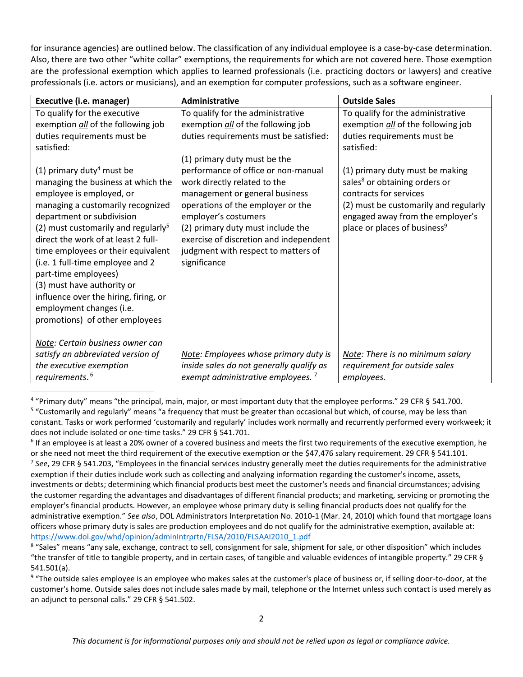for insurance agencies) are outlined below. The classification of any individual employee is a case-by-case determination. Also, there are two other "white collar" exemptions, the requirements for which are not covered here. Those exemption are the professional exemption which applies to learned professionals (i.e. practicing doctors or lawyers) and creative professionals (i.e. actors or musicians), and an exemption for computer professions, such as a software engineer.

| Executive (i.e. manager)                        | <b>Administrative</b>                         | <b>Outside Sales</b>                      |
|-------------------------------------------------|-----------------------------------------------|-------------------------------------------|
| To qualify for the executive                    | To qualify for the administrative             | To qualify for the administrative         |
| exemption all of the following job              | exemption all of the following job            | exemption all of the following job        |
| duties requirements must be                     | duties requirements must be satisfied:        | duties requirements must be               |
| satisfied:                                      |                                               | satisfied:                                |
|                                                 | (1) primary duty must be the                  |                                           |
| (1) primary duty <sup>4</sup> must be           | performance of office or non-manual           | (1) primary duty must be making           |
| managing the business at which the              | work directly related to the                  | sales <sup>8</sup> or obtaining orders or |
| employee is employed, or                        | management or general business                | contracts for services                    |
| managing a customarily recognized               | operations of the employer or the             | (2) must be customarily and regularly     |
| department or subdivision                       | employer's costumers                          | engaged away from the employer's          |
| (2) must customarily and regularly <sup>5</sup> | (2) primary duty must include the             | place or places of business <sup>9</sup>  |
| direct the work of at least 2 full-             | exercise of discretion and independent        |                                           |
| time employees or their equivalent              | judgment with respect to matters of           |                                           |
| (i.e. 1 full-time employee and 2                | significance                                  |                                           |
| part-time employees)                            |                                               |                                           |
| (3) must have authority or                      |                                               |                                           |
| influence over the hiring, firing, or           |                                               |                                           |
| employment changes (i.e.                        |                                               |                                           |
| promotions) of other employees                  |                                               |                                           |
|                                                 |                                               |                                           |
| Note: Certain business owner can                |                                               |                                           |
| satisfy an abbreviated version of               | Note: Employees whose primary duty is         | Note: There is no minimum salary          |
| the executive exemption                         | inside sales do not generally qualify as      | requirement for outside sales             |
| requirements. <sup>6</sup>                      | exempt administrative employees. <sup>7</sup> | employees.                                |

4 "Primary duty" means "the principal, main, major, or most important duty that the employee performs." 29 CFR § 541.700.

 $\overline{a}$ 

<sup>5</sup> "Customarily and regularly" means "a frequency that must be greater than occasional but which, of course, may be less than constant. Tasks or work performed 'customarily and regularly' includes work normally and recurrently performed every workweek; it does not include isolated or one-time tasks." 29 CFR § 541.701.

<sup>&</sup>lt;sup>6</sup> If an employee is at least a 20% owner of a covered business and meets the first two requirements of the executive exemption, he or she need not meet the third requirement of the executive exemption or the \$47,476 salary requirement. 29 CFR § 541.101. 7 *See*, 29 CFR § 541.203, "Employees in the financial services industry generally meet the duties requirements for the administrative exemption if their duties include work such as collecting and analyzing information regarding the customer's income, assets, investments or debts; determining which financial products best meet the customer's needs and financial circumstances; advising the customer regarding the advantages and disadvantages of different financial products; and marketing, servicing or promoting the employer's financial products. However, an employee whose primary duty is selling financial products does not qualify for the administrative exemption." *See also*, DOL Administrators Interpretation No. 2010-1 (Mar. 24, 2010) which found that mortgage loans officers whose primary duty is sales are production employees and do not qualify for the administrative exemption, available at: [https://www.dol.gov/whd/opinion/adminIntrprtn/FLSA/2010/FLSAAI2010\\_1.pdf](https://www.dol.gov/whd/opinion/adminIntrprtn/FLSA/2010/FLSAAI2010_1.pdf)

<sup>&</sup>lt;sup>8</sup> "Sales" means "any sale, exchange, contract to sell, consignment for sale, shipment for sale, or other disposition" which includes "the transfer of title to tangible property, and in certain cases, of tangible and valuable evidences of intangible property." 29 CFR § 541.501(a).

<sup>&</sup>lt;sup>9</sup> "The outside sales employee is an employee who makes sales at the customer's place of business or, if selling door-to-door, at the customer's home. Outside sales does not include sales made by mail, telephone or the Internet unless such contact is used merely as an adjunct to personal calls." 29 CFR § 541.502.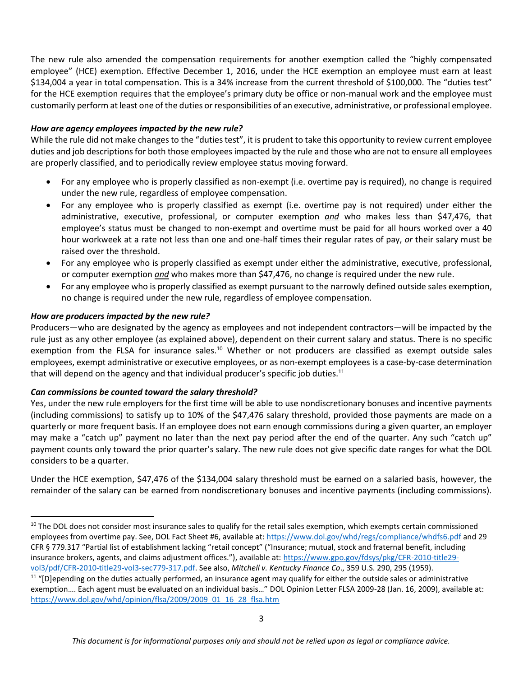The new rule also amended the compensation requirements for another exemption called the "highly compensated employee" (HCE) exemption. Effective December 1, 2016, under the HCE exemption an employee must earn at least \$134,004 a year in total compensation. This is a 34% increase from the current threshold of \$100,000. The "duties test" for the HCE exemption requires that the employee's primary duty be office or non-manual work and the employee must customarily perform at least one of the duties or responsibilities of an executive, administrative, or professional employee.

## *How are agency employees impacted by the new rule?*

While the rule did not make changes to the "duties test", it is prudent to take this opportunity to review current employee duties and job descriptions for both those employees impacted by the rule and those who are not to ensure all employees are properly classified, and to periodically review employee status moving forward.

- For any employee who is properly classified as non-exempt (i.e. overtime pay is required), no change is required under the new rule, regardless of employee compensation.
- For any employee who is properly classified as exempt (i.e. overtime pay is not required) under either the administrative, executive, professional, or computer exemption *and* who makes less than \$47,476, that employee's status must be changed to non-exempt and overtime must be paid for all hours worked over a 40 hour workweek at a rate not less than one and one-half times their regular rates of pay, *or* their salary must be raised over the threshold.
- For any employee who is properly classified as exempt under either the administrative, executive, professional, or computer exemption *and* who makes more than \$47,476, no change is required under the new rule.
- For any employee who is properly classified as exempt pursuant to the narrowly defined outside sales exemption, no change is required under the new rule, regardless of employee compensation.

## *How are producers impacted by the new rule?*

 $\overline{\phantom{a}}$ 

Producers—who are designated by the agency as employees and not independent contractors—will be impacted by the rule just as any other employee (as explained above), dependent on their current salary and status. There is no specific exemption from the FLSA for insurance sales.<sup>10</sup> Whether or not producers are classified as exempt outside sales employees, exempt administrative or executive employees, or as non-exempt employees is a case-by-case determination that will depend on the agency and that individual producer's specific job duties.<sup>11</sup>

#### *Can commissions be counted toward the salary threshold?*

Yes, under the new rule employers for the first time will be able to use nondiscretionary bonuses and incentive payments (including commissions) to satisfy up to 10% of the \$47,476 salary threshold, provided those payments are made on a quarterly or more frequent basis. If an employee does not earn enough commissions during a given quarter, an employer may make a "catch up" payment no later than the next pay period after the end of the quarter. Any such "catch up" payment counts only toward the prior quarter's salary. The new rule does not give specific date ranges for what the DOL considers to be a quarter.

Under the HCE exemption, \$47,476 of the \$134,004 salary threshold must be earned on a salaried basis, however, the remainder of the salary can be earned from nondiscretionary bonuses and incentive payments (including commissions).

<sup>&</sup>lt;sup>10</sup> The DOL does not consider most insurance sales to qualify for the retail sales exemption, which exempts certain commissioned employees from overtime pay. See, DOL Fact Sheet #6, available at:<https://www.dol.gov/whd/regs/compliance/whdfs6.pdf> and 29 CFR § 779.317 "Partial list of establishment lacking "retail concept" ("Insurance; mutual, stock and fraternal benefit, including insurance brokers, agents, and claims adjustment offices."), available at: [https://www.gpo.gov/fdsys/pkg/CFR-2010-title29](https://www.gpo.gov/fdsys/pkg/CFR-2010-title29-vol3/pdf/CFR-2010-title29-vol3-sec779-317.pdf) [vol3/pdf/CFR-2010-title29-vol3-sec779-317.pdf.](https://www.gpo.gov/fdsys/pkg/CFR-2010-title29-vol3/pdf/CFR-2010-title29-vol3-sec779-317.pdf) See also, *Mitchell v. Kentucky Finance Co*., 359 U.S. 290, 295 (1959).

<sup>&</sup>lt;sup>11</sup> "[D]epending on the duties actually performed, an insurance agent may qualify for either the outside sales or administrative exemption…. Each agent must be evaluated on an individual basis…" DOL Opinion Letter FLSA 2009-28 (Jan. 16, 2009), available at: [https://www.dol.gov/whd/opinion/flsa/2009/2009\\_01\\_16\\_28\\_flsa.htm](https://www.dol.gov/whd/opinion/flsa/2009/2009_01_16_28_flsa.htm)